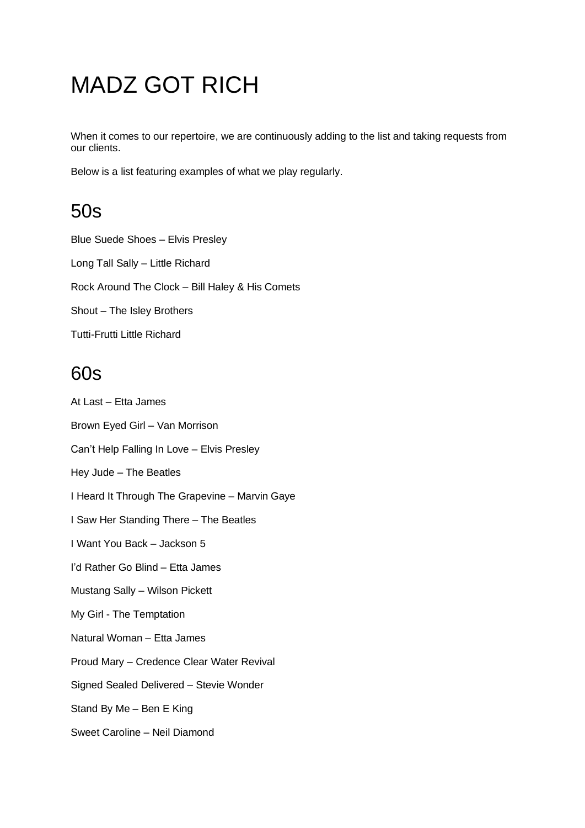# MADZ GOT RICH

When it comes to our repertoire, we are continuously adding to the list and taking requests from our clients.

Below is a list featuring examples of what we play regularly.

## 50s

Blue Suede Shoes – Elvis Presley Long Tall Sally – Little Richard Rock Around The Clock – Bill Haley & His Comets Shout – The Isley Brothers Tutti-Frutti Little Richard

#### 60s

At Last – Etta James Brown Eyed Girl – Van Morrison Can't Help Falling In Love – Elvis Presley Hey Jude – The Beatles I Heard It Through The Grapevine – Marvin Gaye I Saw Her Standing There – The Beatles I Want You Back – Jackson 5 I'd Rather Go Blind – Etta James Mustang Sally – Wilson Pickett My Girl - The Temptation Natural Woman – Etta James Proud Mary – Credence Clear Water Revival Signed Sealed Delivered – Stevie Wonder Stand By Me – Ben E King Sweet Caroline – Neil Diamond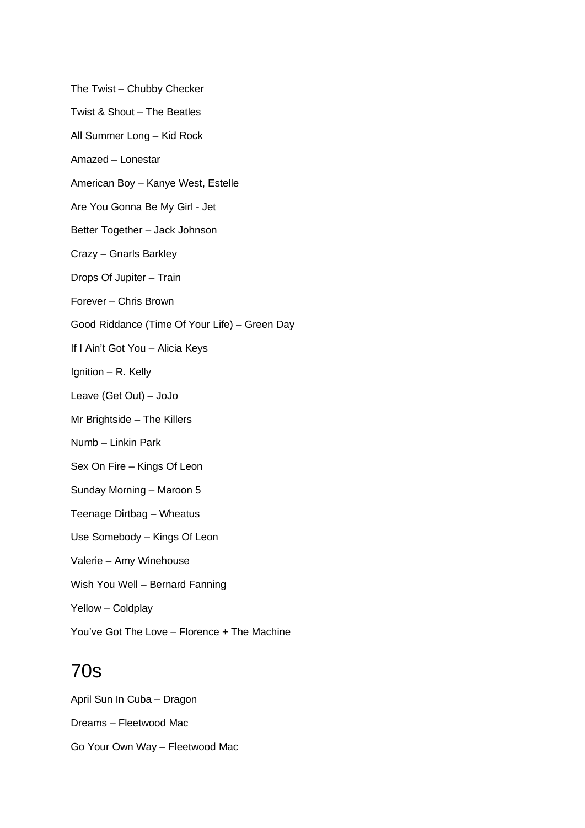The Twist – Chubby Checker Twist & Shout – The Beatles All Summer Long – Kid Rock Amazed – Lonestar American Boy – Kanye West, Estelle Are You Gonna Be My Girl - Jet Better Together – Jack Johnson Crazy – Gnarls Barkley Drops Of Jupiter – Train Forever – Chris Brown Good Riddance (Time Of Your Life) – Green Day If I Ain't Got You – Alicia Keys Ignition – R. Kelly Leave (Get Out) – JoJo Mr Brightside – The Killers Numb – Linkin Park Sex On Fire – Kings Of Leon Sunday Morning – Maroon 5 Teenage Dirtbag – Wheatus Use Somebody – Kings Of Leon Valerie – Amy Winehouse Wish You Well – Bernard Fanning Yellow – Coldplay You've Got The Love – Florence + The Machine

## 70s

April Sun In Cuba – Dragon Dreams – Fleetwood Mac Go Your Own Way – Fleetwood Mac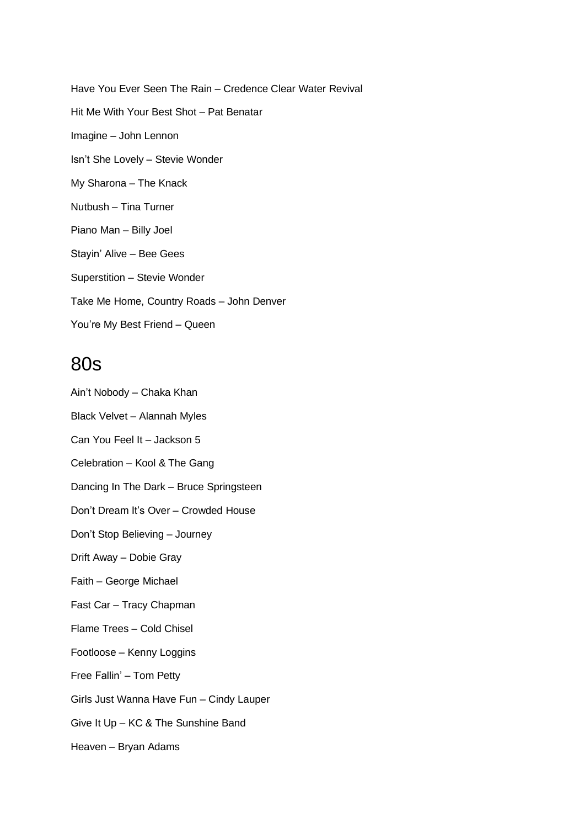Have You Ever Seen The Rain – Credence Clear Water Revival Hit Me With Your Best Shot – Pat Benatar Imagine – John Lennon Isn't She Lovely – Stevie Wonder My Sharona – The Knack Nutbush – Tina Turner Piano Man – Billy Joel Stayin' Alive – Bee Gees Superstition – Stevie Wonder Take Me Home, Country Roads – John Denver You're My Best Friend – Queen

#### 80s

Ain't Nobody – Chaka Khan Black Velvet – Alannah Myles Can You Feel It – Jackson 5 Celebration – Kool & The Gang Dancing In The Dark – Bruce Springsteen Don't Dream It's Over – Crowded House Don't Stop Believing – Journey Drift Away – Dobie Gray Faith – George Michael Fast Car – Tracy Chapman Flame Trees – Cold Chisel Footloose – Kenny Loggins Free Fallin' – Tom Petty Girls Just Wanna Have Fun – Cindy Lauper Give It Up – KC & The Sunshine Band Heaven – Bryan Adams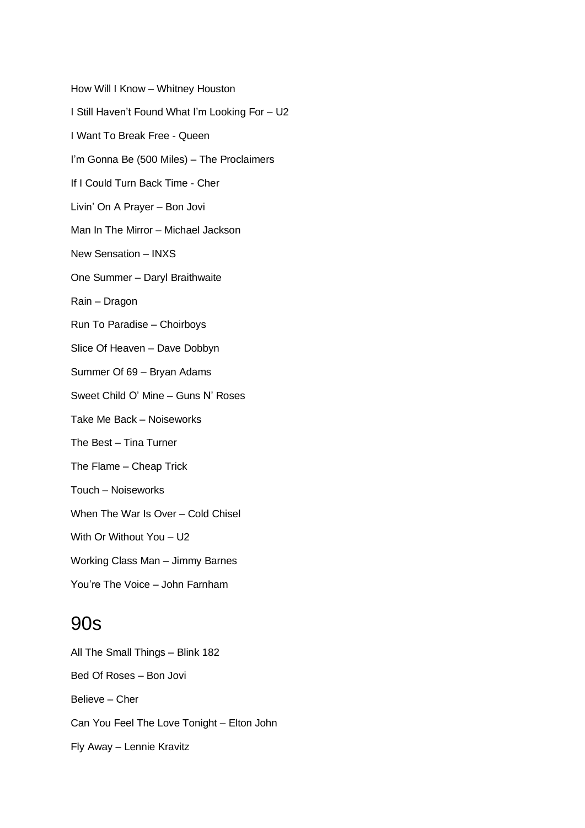How Will I Know – Whitney Houston I Still Haven't Found What I'm Looking For – U2 I Want To Break Free - Queen I'm Gonna Be (500 Miles) – The Proclaimers If I Could Turn Back Time - Cher Livin' On A Prayer – Bon Jovi Man In The Mirror – Michael Jackson New Sensation – INXS One Summer – Daryl Braithwaite Rain – Dragon Run To Paradise – Choirboys Slice Of Heaven – Dave Dobbyn Summer Of 69 – Bryan Adams Sweet Child O' Mine – Guns N' Roses Take Me Back – Noiseworks The Best – Tina Turner The Flame – Cheap Trick Touch – Noiseworks When The War Is Over – Cold Chisel With Or Without You – U2 Working Class Man – Jimmy Barnes You're The Voice – John Farnham

#### 90s

All The Small Things – Blink 182 Bed Of Roses – Bon Jovi Believe – Cher Can You Feel The Love Tonight – Elton John Fly Away – Lennie Kravitz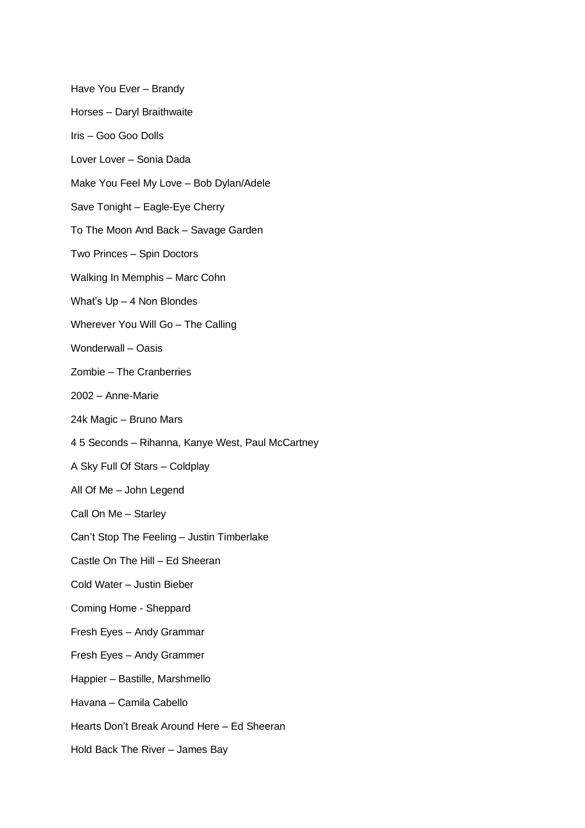Have You Ever – Brandy Horses – Daryl Braithwaite Iris – Goo Goo Dolls Lover Lover – Sonia Dada Make You Feel My Love – Bob Dylan/Adele Save Tonight – Eagle-Eye Cherry To The Moon And Back – Savage Garden Two Princes – Spin Doctors Walking In Memphis – Marc Cohn What's Up – 4 Non Blondes Wherever You Will Go – The Calling Wonderwall – Oasis Zombie – The Cranberries 2002 – Anne-Marie 24k Magic – Bruno Mars 4 5 Seconds – Rihanna, Kanye West, Paul McCartney A Sky Full Of Stars – Coldplay All Of Me – John Legend Call On Me – Starley Can't Stop The Feeling – Justin Timberlake Castle On The Hill – Ed Sheeran Cold Water – Justin Bieber Coming Home - Sheppard Fresh Eyes – Andy Grammar Fresh Eyes – Andy Grammer Happier – Bastille, Marshmello Havana – Camila Cabello Hearts Don't Break Around Here – Ed Sheeran

Hold Back The River – James Bay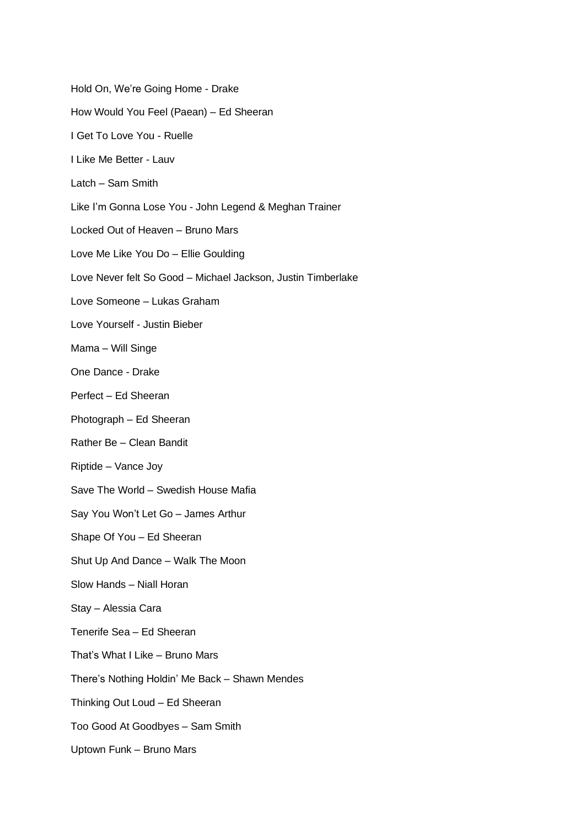Hold On, We're Going Home - Drake How Would You Feel (Paean) – Ed Sheeran I Get To Love You - Ruelle I Like Me Better - Lauv Latch – Sam Smith Like I'm Gonna Lose You - John Legend & Meghan Trainer Locked Out of Heaven – Bruno Mars Love Me Like You Do – Ellie Goulding Love Never felt So Good – Michael Jackson, Justin Timberlake Love Someone – Lukas Graham Love Yourself - Justin Bieber Mama – Will Singe One Dance - Drake Perfect – Ed Sheeran Photograph – Ed Sheeran Rather Be – Clean Bandit Riptide – Vance Joy Save The World – Swedish House Mafia Say You Won't Let Go – James Arthur Shape Of You – Ed Sheeran Shut Up And Dance – Walk The Moon Slow Hands – Niall Horan Stay – Alessia Cara Tenerife Sea – Ed Sheeran That's What I Like – Bruno Mars There's Nothing Holdin' Me Back – Shawn Mendes Thinking Out Loud – Ed Sheeran Too Good At Goodbyes – Sam Smith Uptown Funk – Bruno Mars